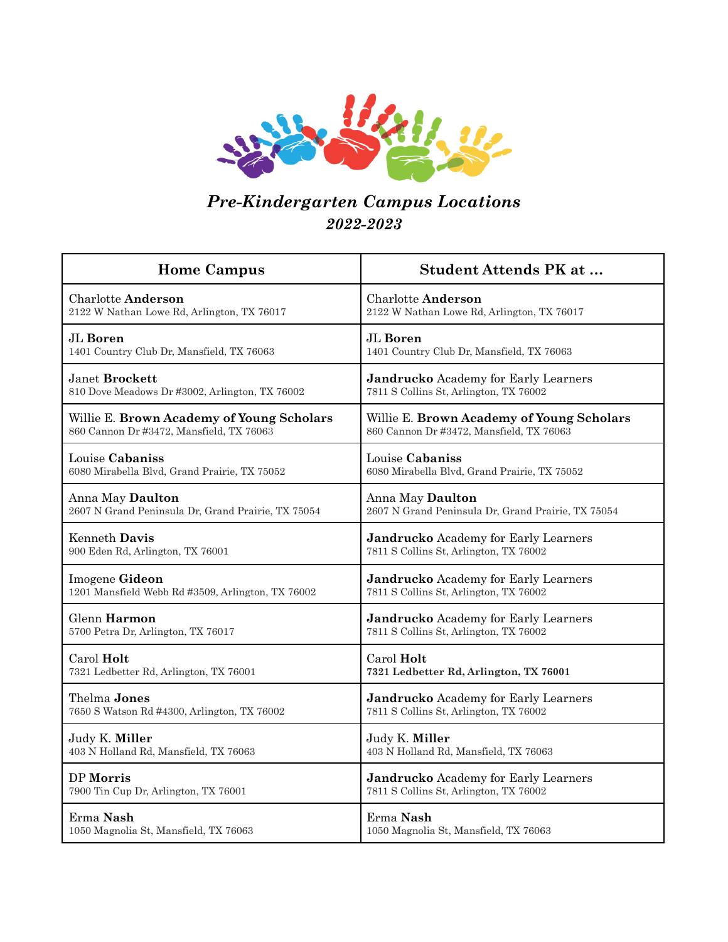

## *Pre-Kindergarten Campus Locations 2022-2023*

| <b>Home Campus</b>                                 | <b>Student Attends PK at </b>                      |
|----------------------------------------------------|----------------------------------------------------|
| <b>Charlotte Anderson</b>                          | <b>Charlotte Anderson</b>                          |
| 2122 W Nathan Lowe Rd, Arlington, TX 76017         | 2122 W Nathan Lowe Rd, Arlington, TX 76017         |
| JL Boren                                           | JL Boren                                           |
| 1401 Country Club Dr, Mansfield, TX 76063          | 1401 Country Club Dr, Mansfield, TX 76063          |
| Janet <b>Brockett</b>                              | <b>Jandrucko</b> Academy for Early Learners        |
| 810 Dove Meadows Dr #3002, Arlington, TX 76002     | 7811 S Collins St, Arlington, TX 76002             |
| Willie E. Brown Academy of Young Scholars          | Willie E. Brown Academy of Young Scholars          |
| 860 Cannon Dr #3472, Mansfield, TX 76063           | 860 Cannon Dr #3472, Mansfield, TX 76063           |
| Louise Cabaniss                                    | Louise Cabaniss                                    |
| 6080 Mirabella Blvd, Grand Prairie, TX 75052       | 6080 Mirabella Blvd, Grand Prairie, TX 75052       |
| Anna May Daulton                                   | Anna May Daulton                                   |
| 2607 N Grand Peninsula Dr, Grand Prairie, TX 75054 | 2607 N Grand Peninsula Dr, Grand Prairie, TX 75054 |
| Kenneth Davis                                      | <b>Jandrucko</b> Academy for Early Learners        |
| 900 Eden Rd, Arlington, TX 76001                   | 7811 S Collins St, Arlington, TX 76002             |
| Imogene Gideon                                     | <b>Jandrucko</b> Academy for Early Learners        |
| 1201 Mansfield Webb Rd #3509, Arlington, TX 76002  | 7811 S Collins St, Arlington, TX 76002             |
| Glenn Harmon                                       | <b>Jandrucko</b> Academy for Early Learners        |
| 5700 Petra Dr, Arlington, TX 76017                 | 7811 S Collins St, Arlington, TX 76002             |
| Carol Holt                                         | Carol Holt                                         |
| 7321 Ledbetter Rd, Arlington, TX 76001             | 7321 Ledbetter Rd, Arlington, TX 76001             |
| Thelma Jones                                       | <b>Jandrucko</b> Academy for Early Learners        |
| 7650 S Watson Rd #4300, Arlington, TX 76002        | 7811 S Collins St, Arlington, TX 76002             |
| Judy K. Miller                                     | Judy K. Miller                                     |
| 403 N Holland Rd, Mansfield, TX 76063              | 403 N Holland Rd, Mansfield, TX 76063              |
| DP Morris                                          | <b>Jandrucko</b> Academy for Early Learners        |
| 7900 Tin Cup Dr, Arlington, TX 76001               | 7811 S Collins St, Arlington, TX 76002             |
| Erma Nash                                          | Erma Nash                                          |
| 1050 Magnolia St, Mansfield, TX 76063              | 1050 Magnolia St, Mansfield, TX 76063              |